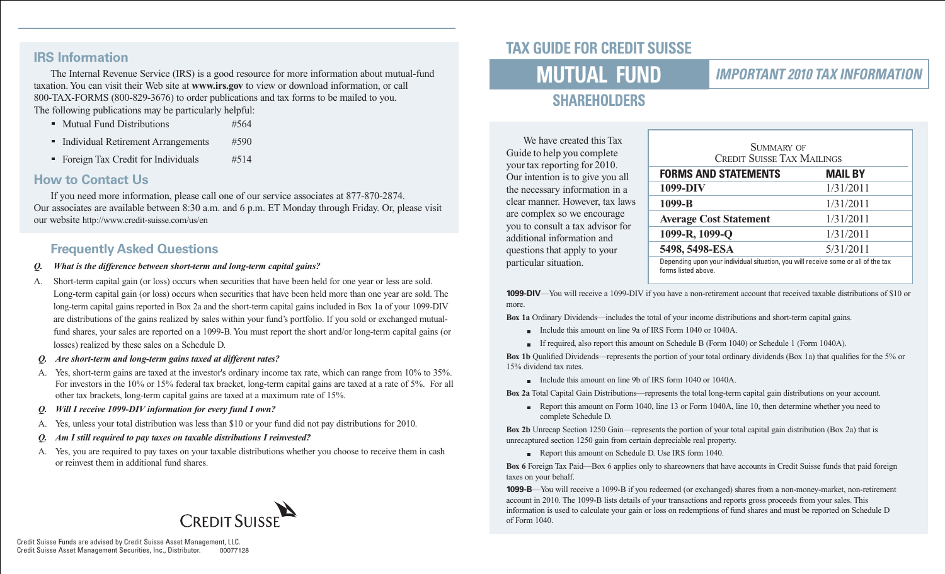#### **IRS Information**

The Internal Revenue Service (IRS) is a good resource for more information about mutual-fund taxation. You can visit their Web site at **www.irs.gov** to view or download information, or call 800-TAX-FORMS (800-829-3676) to order publications and tax forms to be mailed to you. The following publications may be particularly helpful:

- Mutual Fund Distributions #564
- Individual Retirement Arrangements #590
- Foreign Tax Credit for Individuals #514

#### **How to Contact Us**

If you need more information, please call one of our service associates at 877-870-2874. Our associates are available between 8:30 a.m. and 6 p.m. ET Monday through Friday. Or, please visit our website http://www.credit-suisse.com/us/en

### **Frequently Asked Questions**

- *Q. What is the difference between short-term and long-term capital gains?*
- A. Short-term capital gain (or loss) occurs when securities that have been held for one year or less are sold. Long-term capital gain (or loss) occurs when securities that have been held more than one year are sold. The long-term capital gains reported in Box 2a and the short-term capital gains included in Box 1a of your 1099-DIV are distributions of the gains realized by sales within your fund's portfolio. If you sold or exchanged mutualfund shares, your sales are reported on a 1099-B. You must report the short and/or long-term capital gains (or losses) realized by these sales on a Schedule D.
- *Q. Are short-term and long-term gains taxed at different rates?*
- A. Yes, short-term gains are taxed at the investor's ordinary income tax rate, which can range from 10% to 35%. For investors in the 10% or 15% federal tax bracket, long-term capital gains are taxed at a rate of 5%. For all other tax brackets, long-term capital gains are taxed at a maximum rate of 15%.
- *Q. Will I receive 1099-DIV information for every fund I own?*
- A. Yes, unless your total distribution was less than \$10 or your fund did not pay distributions for 2010.
- *Q. Am I still required to pay taxes on taxable distributions I reinvested?*
- A. Yes, you are required to pay taxes on your taxable distributions whether you choose to receive them in cash or reinvest them in additional fund shares.



# **TAX GUIDE FOR CREDIT SUISSE**

# **MUTUAL FUND**

#### **IMPORTANT 2010 TAX INFORMATION**

# **SHAREHOLDERS**

We have created this Tax Guide to help you complete your tax reporting for 2010. Our intention is to give you all the necessary information in a clear manner. However, tax laws are complex so we encourage you to consult a tax advisor for additional information and questions that apply to your particular situation.

| SUMMARY OF<br><b>CREDIT SUISSE TAX MAILINGS</b>                                                          |                |  |  |
|----------------------------------------------------------------------------------------------------------|----------------|--|--|
| <b>FORMS AND STATEMENTS</b>                                                                              | <b>MAIL BY</b> |  |  |
| 1099-DIV                                                                                                 | 1/31/2011      |  |  |
| 1099-B                                                                                                   | 1/31/2011      |  |  |
| <b>Average Cost Statement</b>                                                                            | 1/31/2011      |  |  |
| 1099-R, 1099-Q                                                                                           | 1/31/2011      |  |  |
| 5498, 5498-ESA                                                                                           | 5/31/2011      |  |  |
| Depending upon your individual situation, you will receive some or all of the tax<br>forms listed above. |                |  |  |

**1099-DIV**—You will receive a 1099-DIV if you have a non-retirement account that received taxable distributions of \$10 or more.

**Box 1a** Ordinary Dividends—includes the total of your income distributions and short-term capital gains.

- Include this amount on line 9a of IRS Form 1040 or 1040A.
- If required, also report this amount on Schedule B (Form 1040) or Schedule 1 (Form 1040A).

**Box 1b** Qualified Dividends—represents the portion of your total ordinary dividends (Box 1a) that qualifies for the 5% or 15% dividend tax rates.

Include this amount on line 9b of IRS form 1040 or 1040A.

**Box 2a** Total Capital Gain Distributions—represents the total long-term capital gain distributions on your account.

Report this amount on Form 1040, line 13 or Form 1040A, line 10, then determine whether you need to complete Schedule D.

**Box 2b** Unrecap Section 1250 Gain—represents the portion of your total capital gain distribution (Box 2a) that is unrecaptured section 1250 gain from certain depreciable real property.

Report this amount on Schedule D. Use IRS form 1040.

**Box 6** Foreign Tax Paid—Box 6 applies only to shareowners that have accounts in Credit Suisse funds that paid foreign taxes on your behalf.

**1099-B**—You will receive a 1099-B if you redeemed (or exchanged) shares from a non-money-market, non-retirement account in 2010. The 1099-B lists details of your transactions and reports gross proceeds from your sales. This information is used to calculate your gain or loss on redemptions of fund shares and must be reported on Schedule D of Form 1040.

Credit Suisse Funds are advised by Credit Suisse Asset Management, LLC. Credit Suisse Asset Management Securities, Inc., Distributor. 00077128